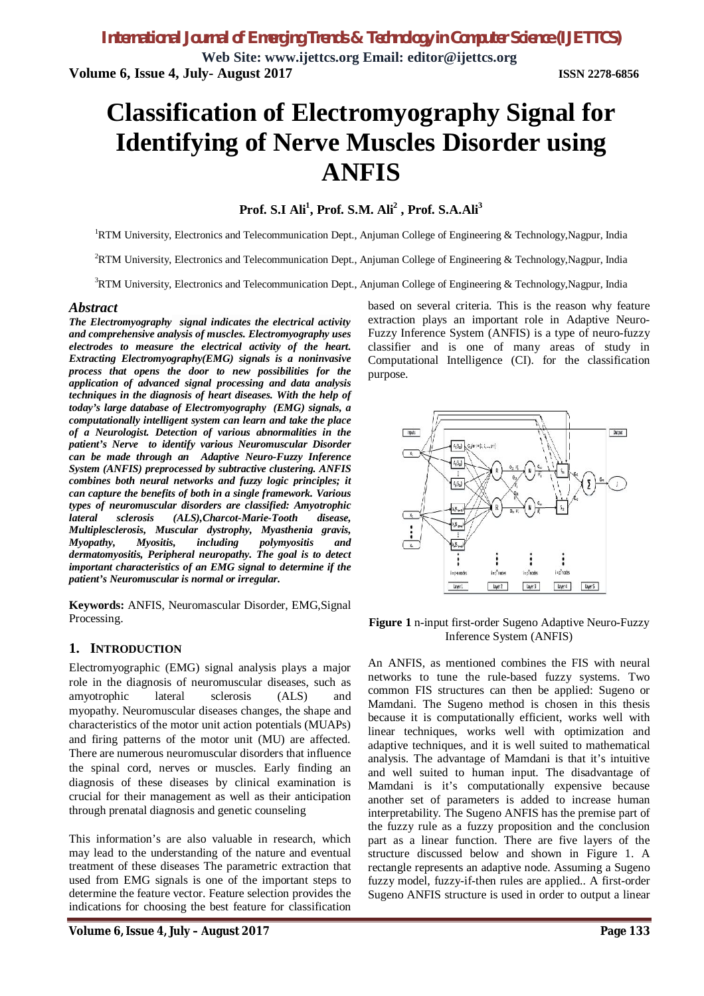**Web Site: www.ijettcs.org Email: editor@ijettcs.org Volume 6, Issue 4, July- August 2017 ISSN 2278-6856**

# **Classification of Electromyography Signal for Identifying of Nerve Muscles Disorder using ANFIS**

# **Prof. S.I Ali<sup>1</sup> , Prof. S.M. Ali<sup>2</sup> , Prof. S.A.Ali<sup>3</sup>**

<sup>1</sup>RTM University, Electronics and Telecommunication Dept., Anjuman College of Engineering & Technology,Nagpur, India

<sup>2</sup>RTM University, Electronics and Telecommunication Dept., Anjuman College of Engineering & Technology,Nagpur, India

<sup>3</sup>RTM University, Electronics and Telecommunication Dept., Anjuman College of Engineering & Technology, Nagpur, India

#### *Abstract*

*The Electromyography signal indicates the electrical activity and comprehensive analysis of muscles. Electromyography uses electrodes to measure the electrical activity of the heart. Extracting Electromyography(EMG) signals is a noninvasive process that opens the door to new possibilities for the application of advanced signal processing and data analysis techniques in the diagnosis of heart diseases. With the help of today's large database of Electromyography (EMG) signals, a computationally intelligent system can learn and take the place of a Neurologist. Detection of various abnormalities in the patient's Nerve to identify various Neuromuscular Disorder can be made through an Adaptive Neuro-Fuzzy Inference System (ANFIS) preprocessed by subtractive clustering. ANFIS combines both neural networks and fuzzy logic principles; it can capture the benefits of both in a single framework. Various types of neuromuscular disorders are classified: Amyotrophic lateral sclerosis (ALS),Charcot-Marie-Tooth disease, Multiplesclerosis, Muscular dystrophy, Myasthenia gravis, Myopathy, Myositis, including polymyositis and dermatomyositis, Peripheral neuropathy. The goal is to detect important characteristics of an EMG signal to determine if the patient's Neuromuscular is normal or irregular.*

**Keywords:** ANFIS, Neuromascular Disorder, EMG,Signal Processing.

#### **1. INTRODUCTION**

Electromyographic (EMG) signal analysis plays a major role in the diagnosis of neuromuscular diseases, such as amyotrophic lateral sclerosis (ALS) and myopathy. Neuromuscular diseases changes, the shape and characteristics of the motor unit action potentials (MUAPs) and firing patterns of the motor unit (MU) are affected. There are numerous neuromuscular disorders that influence the spinal cord, nerves or muscles. Early finding an diagnosis of these diseases by clinical examination is crucial for their management as well as their anticipation through prenatal diagnosis and genetic counseling

This information's are also valuable in research, which may lead to the understanding of the nature and eventual treatment of these diseases The parametric extraction that used from EMG signals is one of the important steps to determine the feature vector. Feature selection provides the indications for choosing the best feature for classification

based on several criteria. This is the reason why feature extraction plays an important role in Adaptive Neuro-Fuzzy Inference System (ANFIS) is a type of neuro-fuzzy classifier and is one of many areas of study in Computational Intelligence (CI). for the classification purpose.



**Figure 1** n-input first-order Sugeno Adaptive Neuro-Fuzzy Inference System (ANFIS)

An ANFIS, as mentioned combines the FIS with neural networks to tune the rule-based fuzzy systems. Two common FIS structures can then be applied: Sugeno or Mamdani. The Sugeno method is chosen in this thesis because it is computationally efficient, works well with linear techniques, works well with optimization and adaptive techniques, and it is well suited to mathematical analysis. The advantage of Mamdani is that it's intuitive and well suited to human input. The disadvantage of Mamdani is it's computationally expensive because another set of parameters is added to increase human interpretability. The Sugeno ANFIS has the premise part of the fuzzy rule as a fuzzy proposition and the conclusion part as a linear function. There are five layers of the structure discussed below and shown in Figure 1. A rectangle represents an adaptive node. Assuming a Sugeno fuzzy model, fuzzy-if-then rules are applied.. A first-order Sugeno ANFIS structure is used in order to output a linear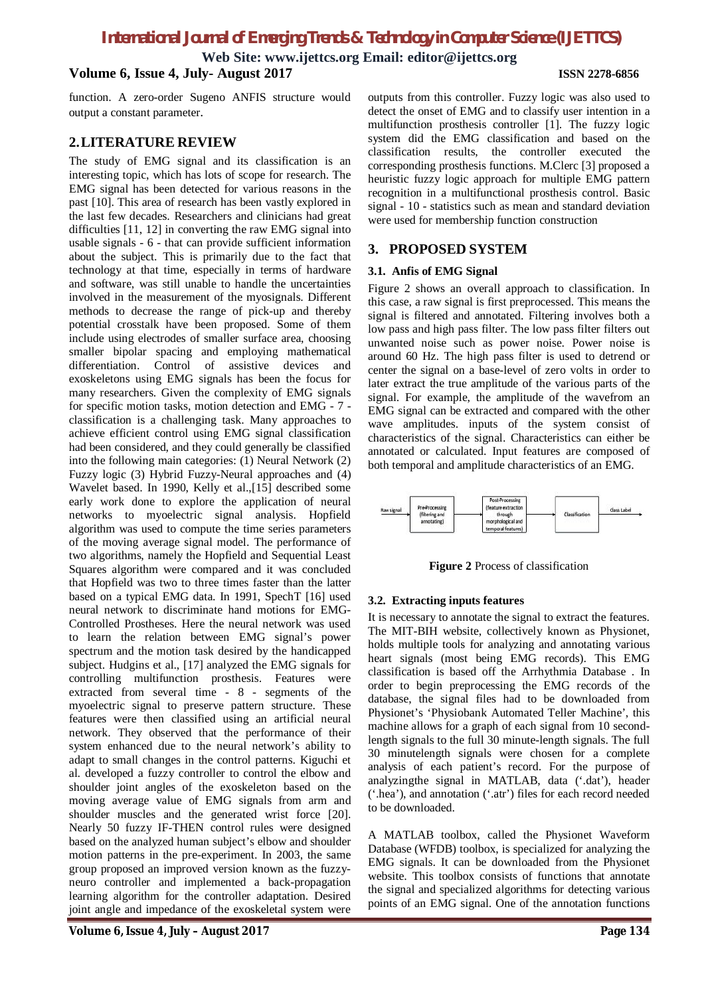# *International Journal of Emerging Trends & Technology in Computer Science (IJETTCS)*

**Web Site: www.ijettcs.org Email: editor@ijettcs.org**

# **Volume 6, Issue 4, July- August 2017 ISSN 2278-6856**

function. A zero-order Sugeno ANFIS structure would output a constant parameter.

# **2.LITERATURE REVIEW**

The study of EMG signal and its classification is an interesting topic, which has lots of scope for research. The EMG signal has been detected for various reasons in the past [10]. This area of research has been vastly explored in the last few decades. Researchers and clinicians had great difficulties [11, 12] in converting the raw EMG signal into usable signals - 6 - that can provide sufficient information about the subject. This is primarily due to the fact that technology at that time, especially in terms of hardware and software, was still unable to handle the uncertainties involved in the measurement of the myosignals. Different methods to decrease the range of pick-up and thereby potential crosstalk have been proposed. Some of them include using electrodes of smaller surface area, choosing smaller bipolar spacing and employing mathematical differentiation. Control of assistive devices and exoskeletons using EMG signals has been the focus for many researchers. Given the complexity of EMG signals for specific motion tasks, motion detection and EMG - 7 classification is a challenging task. Many approaches to achieve efficient control using EMG signal classification had been considered, and they could generally be classified into the following main categories: (1) Neural Network (2) Fuzzy logic (3) Hybrid Fuzzy-Neural approaches and (4) Wavelet based. In 1990, Kelly et al.,[15] described some early work done to explore the application of neural networks to myoelectric signal analysis. Hopfield algorithm was used to compute the time series parameters of the moving average signal model. The performance of two algorithms, namely the Hopfield and Sequential Least Squares algorithm were compared and it was concluded that Hopfield was two to three times faster than the latter based on a typical EMG data. In 1991, SpechT [16] used neural network to discriminate hand motions for EMG-Controlled Prostheses. Here the neural network was used to learn the relation between EMG signal's power spectrum and the motion task desired by the handicapped subject. Hudgins et al., [17] analyzed the EMG signals for controlling multifunction prosthesis. Features were extracted from several time - 8 - segments of the myoelectric signal to preserve pattern structure. These features were then classified using an artificial neural network. They observed that the performance of their system enhanced due to the neural network's ability to adapt to small changes in the control patterns. Kiguchi et al. developed a fuzzy controller to control the elbow and shoulder joint angles of the exoskeleton based on the moving average value of EMG signals from arm and shoulder muscles and the generated wrist force [20]. Nearly 50 fuzzy IF-THEN control rules were designed based on the analyzed human subject's elbow and shoulder motion patterns in the pre-experiment. In 2003, the same group proposed an improved version known as the fuzzyneuro controller and implemented a back-propagation learning algorithm for the controller adaptation. Desired joint angle and impedance of the exoskeletal system were

outputs from this controller. Fuzzy logic was also used to detect the onset of EMG and to classify user intention in a multifunction prosthesis controller [1]. The fuzzy logic system did the EMG classification and based on the classification results, the controller executed the corresponding prosthesis functions. M.Clerc [3] proposed a heuristic fuzzy logic approach for multiple EMG pattern recognition in a multifunctional prosthesis control. Basic signal - 10 - statistics such as mean and standard deviation were used for membership function construction

# **3. PROPOSED SYSTEM**

## **3.1. Anfis of EMG Signal**

Figure 2 shows an overall approach to classification. In this case, a raw signal is first preprocessed. This means the signal is filtered and annotated. Filtering involves both a low pass and high pass filter. The low pass filter filters out unwanted noise such as power noise. Power noise is around 60 Hz. The high pass filter is used to detrend or center the signal on a base-level of zero volts in order to later extract the true amplitude of the various parts of the signal. For example, the amplitude of the wavefrom an EMG signal can be extracted and compared with the other wave amplitudes. inputs of the system consist of characteristics of the signal. Characteristics can either be annotated or calculated. Input features are composed of both temporal and amplitude characteristics of an EMG.



**Figure 2** Process of classification

#### **3.2. Extracting inputs features**

It is necessary to annotate the signal to extract the features. The MIT-BIH website, collectively known as Physionet, holds multiple tools for analyzing and annotating various heart signals (most being EMG records). This EMG classification is based off the Arrhythmia Database . In order to begin preprocessing the EMG records of the database, the signal files had to be downloaded from Physionet's 'Physiobank Automated Teller Machine', this machine allows for a graph of each signal from 10 secondlength signals to the full 30 minute-length signals. The full 30 minutelength signals were chosen for a complete analysis of each patient's record. For the purpose of analyzingthe signal in MATLAB, data ('.dat'), header ('.hea'), and annotation ('.atr') files for each record needed to be downloaded.

A MATLAB toolbox, called the Physionet Waveform Database (WFDB) toolbox, is specialized for analyzing the EMG signals. It can be downloaded from the Physionet website. This toolbox consists of functions that annotate the signal and specialized algorithms for detecting various points of an EMG signal. One of the annotation functions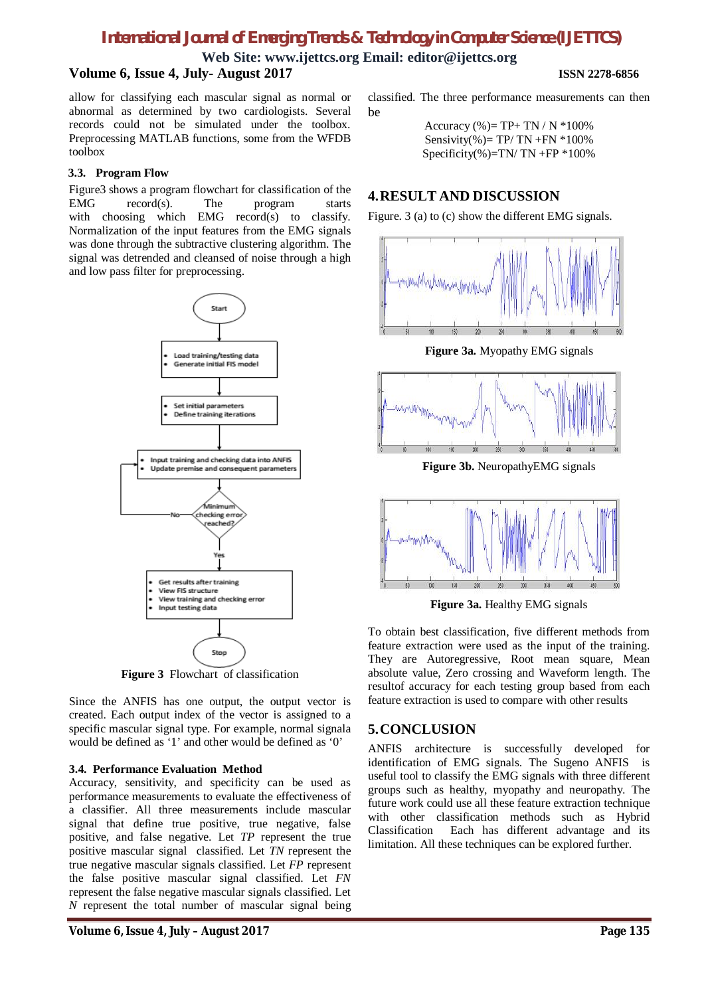# *International Journal of Emerging Trends & Technology in Computer Science (IJETTCS)*

**Web Site: www.ijettcs.org Email: editor@ijettcs.org**

# **Volume 6, Issue 4, July- August 2017 ISSN 2278-6856**

allow for classifying each mascular signal as normal or abnormal as determined by two cardiologists. Several records could not be simulated under the toolbox. Preprocessing MATLAB functions, some from the WFDB toolbox

### **3.3. Program Flow**

Figure3 shows a program flowchart for classification of the EMG record(s). The program starts with choosing which EMG record(s) to classify. Normalization of the input features from the EMG signals was done through the subtractive clustering algorithm. The signal was detrended and cleansed of noise through a high and low pass filter for preprocessing.



**Figure 3** Flowchart of classification

Since the ANFIS has one output, the output vector is created. Each output index of the vector is assigned to a specific mascular signal type. For example, normal signala would be defined as '1' and other would be defined as '0'

# **3.4. Performance Evaluation Method**

Accuracy, sensitivity, and specificity can be used as performance measurements to evaluate the effectiveness of a classifier. All three measurements include mascular signal that define true positive, true negative, false positive, and false negative. Let *TP* represent the true positive mascular signal classified. Let *TN* represent the true negative mascular signals classified. Let *FP* represent the false positive mascular signal classified. Let *FN*  represent the false negative mascular signals classified. Let *N* represent the total number of mascular signal being

classified. The three performance measurements can then be

> Accuracy (%)=  $TP+ TN / N * 100%$ Sensivity(%)=  $TP/ TN + FN *100%$ Specificity(%)=TN/ TN +FP  $*100\%$

# **4.RESULT AND DISCUSSION**

Figure. 3 (a) to (c) show the different EMG signals.



**Figure 3a.** Myopathy EMG signals



**Figure 3b.** NeuropathyEMG signals



**Figure 3a.** Healthy EMG signals

To obtain best classification, five different methods from feature extraction were used as the input of the training. They are Autoregressive, Root mean square, Mean absolute value, Zero crossing and Waveform length. The resultof accuracy for each testing group based from each feature extraction is used to compare with other results

# **5.CONCLUSION**

ANFIS architecture is successfully developed for identification of EMG signals. The Sugeno ANFIS is useful tool to classify the EMG signals with three different groups such as healthy, myopathy and neuropathy. The future work could use all these feature extraction technique with other classification methods such as Hybrid Classification Each has different advantage and its limitation. All these techniques can be explored further.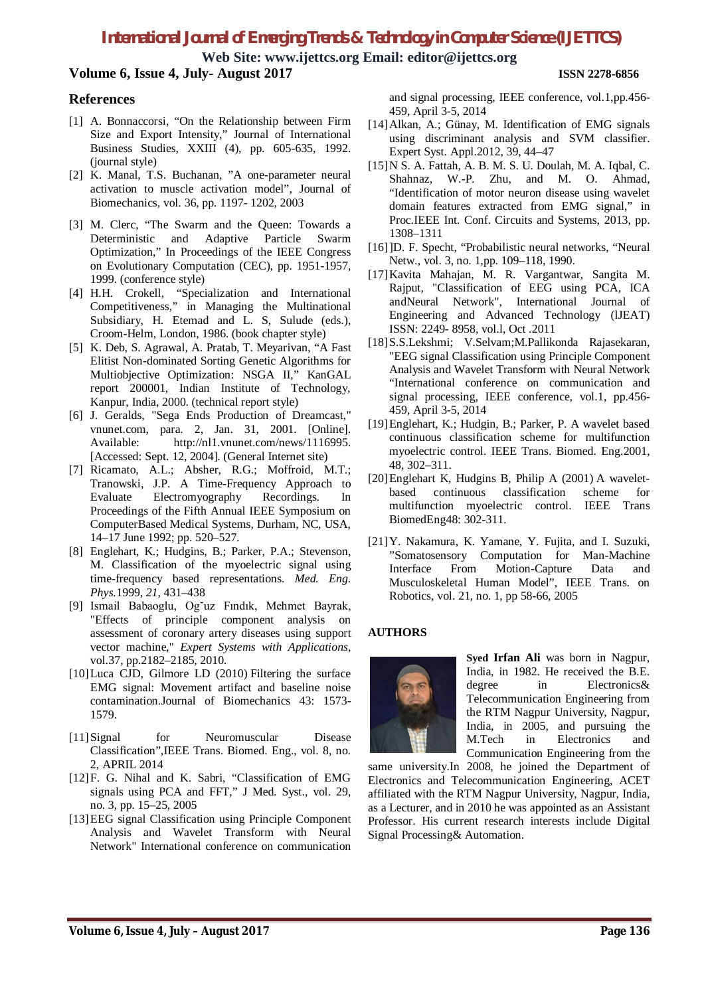# *International Journal of Emerging Trends & Technology in Computer Science (IJETTCS)*

**Web Site: www.ijettcs.org Email: editor@ijettcs.org Volume 6, Issue 4, July- August 2017 ISSN 2278-6856**

# **References**

- [1] A. Bonnaccorsi, "On the Relationship between Firm Size and Export Intensity," Journal of International Business Studies, XXIII (4), pp. 605-635, 1992. (journal style)
- [2] K. Manal, T.S. Buchanan, "A one-parameter neural activation to muscle activation model", Journal of Biomechanics, vol. 36, pp. 1197- 1202, 2003
- [3] M. Clerc, "The Swarm and the Queen: Towards a Deterministic and Adaptive Particle Swarm Optimization," In Proceedings of the IEEE Congress on Evolutionary Computation (CEC), pp. 1951-1957, 1999. (conference style)
- [4] H.H. Crokell, "Specialization and International Competitiveness," in Managing the Multinational Subsidiary, H. Etemad and L. S, Sulude (eds.), Croom-Helm, London, 1986. (book chapter style)
- [5] K. Deb, S. Agrawal, A. Pratab, T. Meyarivan, "A Fast Elitist Non-dominated Sorting Genetic Algorithms for Multiobjective Optimization: NSGA II," KanGAL report 200001, Indian Institute of Technology, Kanpur, India, 2000. (technical report style)
- [6] J. Geralds, "Sega Ends Production of Dreamcast," vnunet.com, para. 2, Jan. 31, 2001. [Online]. Available: http://nl1.vnunet.com/news/1116995. [Accessed: Sept. 12, 2004]. (General Internet site)
- [7] Ricamato, A.L.; Absher, R.G.; Moffroid, M.T.; Tranowski, J.P. A Time-Frequency Approach to Evaluate Electromyography Recordings. In Proceedings of the Fifth Annual IEEE Symposium on ComputerBased Medical Systems, Durham, NC, USA, 14–17 June 1992; pp. 520–527.
- [8] Englehart, K.; Hudgins, B.; Parker, P.A.; Stevenson, M. Classification of the myoelectric signal using time-frequency based representations. *Med. Eng. Phys.*1999, *21*, 431–438
- [9] Ismail Babaoglu, Og˘uz Fındık, Mehmet Bayrak, "Effects of principle component analysis on assessment of coronary artery diseases using support vector machine," *Expert Systems with Applications*, vol.37, pp.2182–2185, 2010.
- [10]Luca CJD, Gilmore LD (2010) Filtering the surface EMG signal: Movement artifact and baseline noise contamination.Journal of Biomechanics 43: 1573- 1579.
- [11]Signal for Neuromuscular Disease Classification",IEEE Trans. Biomed. Eng., vol. 8, no. 2, APRIL 2014
- [12]F. G. Nihal and K. Sabri, "Classification of EMG signals using PCA and FFT," J Med. Syst., vol. 29, no. 3, pp. 15–25, 2005
- [13]EEG signal Classification using Principle Component Analysis and Wavelet Transform with Neural Network" International conference on communication

and signal processing, IEEE conference, vol.1,pp.456- 459, April 3-5, 2014

- [14] Alkan, A.; Günay, M. Identification of EMG signals using discriminant analysis and SVM classifier. Expert Syst. Appl.2012, 39, 44–47
- [15]N S. A. Fattah, A. B. M. S. U. Doulah, M. A. Iqbal, C. Shahnaz, W.-P. Zhu, and M. O. Ahmad, "Identification of motor neuron disease using wavelet domain features extracted from EMG signal," in Proc.IEEE Int. Conf. Circuits and Systems, 2013, pp. 1308–1311
- [16]]D. F. Specht, "Probabilistic neural networks, "Neural Netw., vol. 3, no. 1,pp. 109–118, 1990.
- [17]Kavita Mahajan, M. R. Vargantwar, Sangita M. Rajput, "Classification of EEG using PCA, ICA andNeural Network", International Journal of Engineering and Advanced Technology (lJEAT) ISSN: 2249- 8958, vol.l, Oct .2011
- [18]S.S.Lekshmi; V.Selvam;M.Pallikonda Rajasekaran, "EEG signal Classification using Principle Component Analysis and Wavelet Transform with Neural Network "International conference on communication and signal processing, IEEE conference, vol.1, pp.456- 459, April 3-5, 2014
- [19]Englehart, K.; Hudgin, B.; Parker, P. A wavelet based continuous classification scheme for multifunction myoelectric control. IEEE Trans. Biomed. Eng.2001, 48, 302–311.
- [20]Englehart K, Hudgins B, Philip A (2001) A waveletbased continuous classification scheme for multifunction myoelectric control. IEEE Trans BiomedEng48: 302-311.
- [21]Y. Nakamura, K. Yamane, Y. Fujita, and I. Suzuki, "Somatosensory Computation for Man-Machine Interface From Motion-Capture Data and Musculoskeletal Human Model", IEEE Trans. on Robotics, vol. 21, no. 1, pp 58-66, 2005

# **AUTHORS**



**Syed Irfan Ali** was born in Nagpur, India, in 1982. He received the B.E. degree in Electronics& Telecommunication Engineering from the RTM Nagpur University, Nagpur, India, in 2005, and pursuing the M.Tech in Electronics and Communication Engineering from the

same university.In 2008, he joined the Department of Electronics and Telecommunication Engineering, ACET affiliated with the RTM Nagpur University, Nagpur, India, as a Lecturer, and in 2010 he was appointed as an Assistant Professor. His current research interests include Digital Signal Processing& Automation.